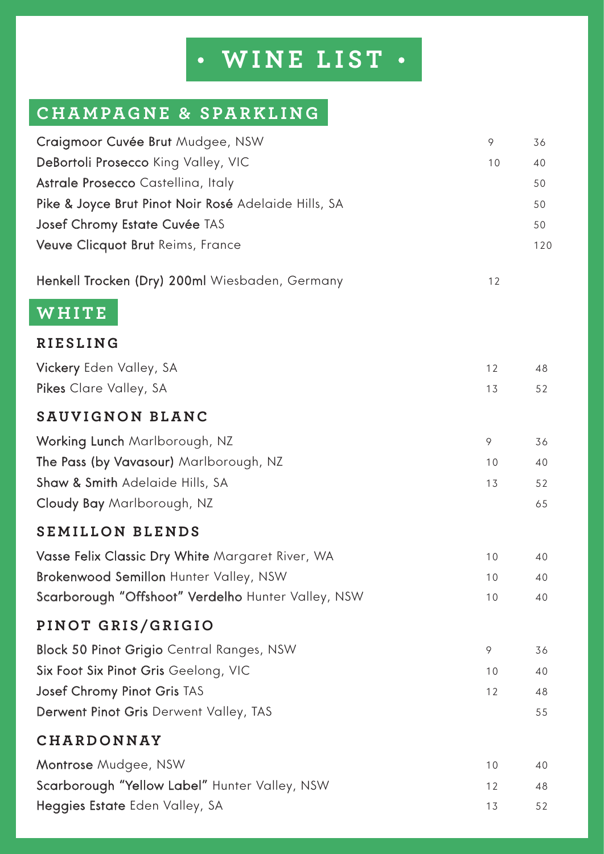## **WINE LIST**

## **CHAMPAGNE & SPARKLING**

| Craigmoor Cuvée Brut Mudgee, NSW                     | 9  | 36  |
|------------------------------------------------------|----|-----|
| DeBortoli Prosecco King Valley, VIC                  | 10 | 40  |
| Astrale Prosecco Castellina, Italy                   |    | 50  |
| Pike & Joyce Brut Pinot Noir Rosé Adelaide Hills, SA |    | 50  |
| Josef Chromy Estate Cuvée TAS                        |    | 50  |
| Veuve Clicquot Brut Reims, France                    |    | 120 |
| Henkell Trocken (Dry) 200ml Wiesbaden, Germany       | 12 |     |
| WHITE                                                |    |     |
| <b>RIESLING</b>                                      |    |     |
| Vickery Eden Valley, SA                              | 12 | 48  |
| Pikes Clare Valley, SA                               | 13 | 52  |
| SAUVIGNON BLANC                                      |    |     |
| Working Lunch Marlborough, NZ                        | 9  | 36  |
| The Pass (by Vavasour) Marlborough, NZ               | 10 | 40  |
| Shaw & Smith Adelaide Hills, SA                      | 13 | 52  |
| Cloudy Bay Marlborough, NZ                           |    | 65  |
| <b>SEMILLON BLENDS</b>                               |    |     |
| Vasse Felix Classic Dry White Margaret River, WA     | 10 | 40  |
| Brokenwood Semillon Hunter Valley, NSW               | 10 | 40  |
| Scarborough "Offshoot" Verdelho Hunter Valley, NSW   | 10 | 40  |
| PINOT GRIS/GRIGIO                                    |    |     |
| <b>Block 50 Pinot Grigio</b> Central Ranges, NSW     | 9  | 36  |
| Six Foot Six Pinot Gris Geelong, VIC                 | 10 | 40  |
| <b>Josef Chromy Pinot Gris TAS</b>                   | 12 | 48  |
| Derwent Pinot Gris Derwent Valley, TAS               |    | 55  |
| CHARDONNAY                                           |    |     |
| Montrose Mudgee, NSW                                 | 10 | 40  |
| Scarborough "Yellow Label" Hunter Valley, NSW        | 12 | 48  |
| Heggies Estate Eden Valley, SA                       | 13 | 52  |